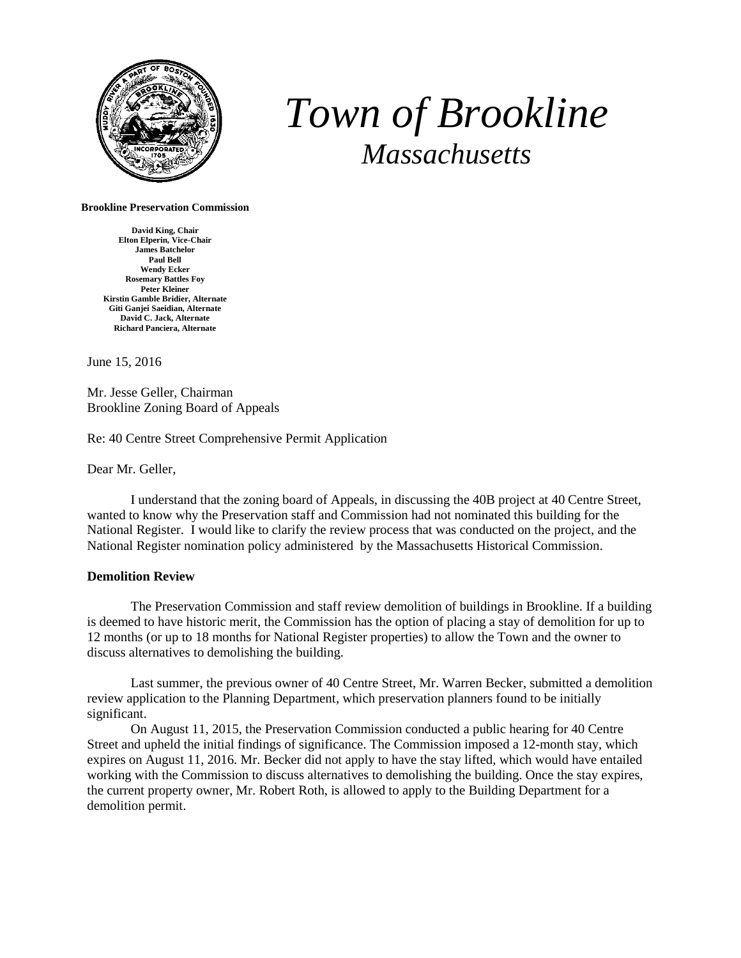

## *Town of Brookline Massachusetts*

## **Brookline Preservation Commission**

**David King, Chair Elton Elperin, Vice-Chair James Batchelor Paul Bell Wendy Ecker Rosemary Battles Foy Peter Kleiner Kirstin Gamble Bridier, Alternate Giti Ganjei Saeidian, Alternate David C. Jack, Alternate Richard Panciera, Alternate**

June 15, 2016

Mr. Jesse Geller, Chairman Brookline Zoning Board of Appeals

Re: 40 Centre Street Comprehensive Permit Application

Dear Mr. Geller,

I understand that the zoning board of Appeals, in discussing the 40B project at 40 Centre Street, wanted to know why the Preservation staff and Commission had not nominated this building for the National Register. I would like to clarify the review process that was conducted on the project, and the National Register nomination policy administered by the Massachusetts Historical Commission.

## **Demolition Review**

The Preservation Commission and staff review demolition of buildings in Brookline. If a building is deemed to have historic merit, the Commission has the option of placing a stay of demolition for up to 12 months (or up to 18 months for National Register properties) to allow the Town and the owner to discuss alternatives to demolishing the building.

Last summer, the previous owner of 40 Centre Street, Mr. Warren Becker, submitted a demolition review application to the Planning Department, which preservation planners found to be initially significant.

On August 11, 2015, the Preservation Commission conducted a public hearing for 40 Centre Street and upheld the initial findings of significance. The Commission imposed a 12-month stay, which expires on August 11, 2016. Mr. Becker did not apply to have the stay lifted, which would have entailed working with the Commission to discuss alternatives to demolishing the building. Once the stay expires, the current property owner, Mr. Robert Roth, is allowed to apply to the Building Department for a demolition permit.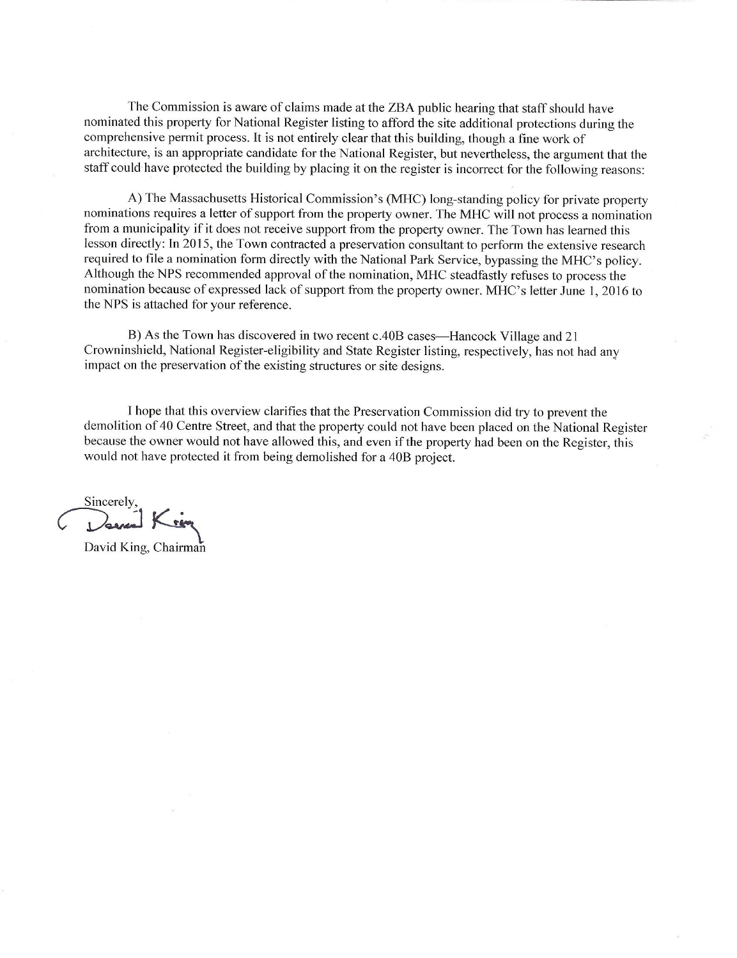The Commission is aware of claims made at the ZBA public hearing that staff should have nominated this property for National Register listing to afford the site additional protections during the comprehensive permit process. It is not entirely clear that this building, though a fine work of architecture, is an appropriate candidate for the National Register, but nevertheless, the argument that the staff could have protected the building by placing it on the register is incorrect for the following reasons:

A) The Massachusetts Historical Commission's (MHC) long-standing policy for private property nominations requires a letter of support from the property owner. The MHC will not process a nomination from a municipality if it does not receive support from the property owner. The Town has learned this lesson directly: In 2015, the Town contracted a preservation consultant to perform the extensive research required to file a nomination form directly with the National Park Service, bypassing the MHC's policy. Although the NPS recommended approval of the nomination, MHC steadfastly refuses to process the nomination because of expressed lack of support from the property owner. MHC's letter June 1, 2016 to the NPS is attached for your reference.

B) As the Town has discovered in two recent c.40B cases—Hancock Village and 21 Crowninshield, National Register-eligibility and State Register listing, respectively, has not had any impact on the preservation of the existing structures or site designs.

I hope that this overview clarifies that the Preservation Commission did try to prevent the demolition of 40 Centre Street, and that the property could not have been placed on the National Register because the owner would not have allowed this, and even if the property had been on the Register, this would not have protected it from being demolished for a 40B project.

Sincerely,<br>Danne Kin

David King, Chairman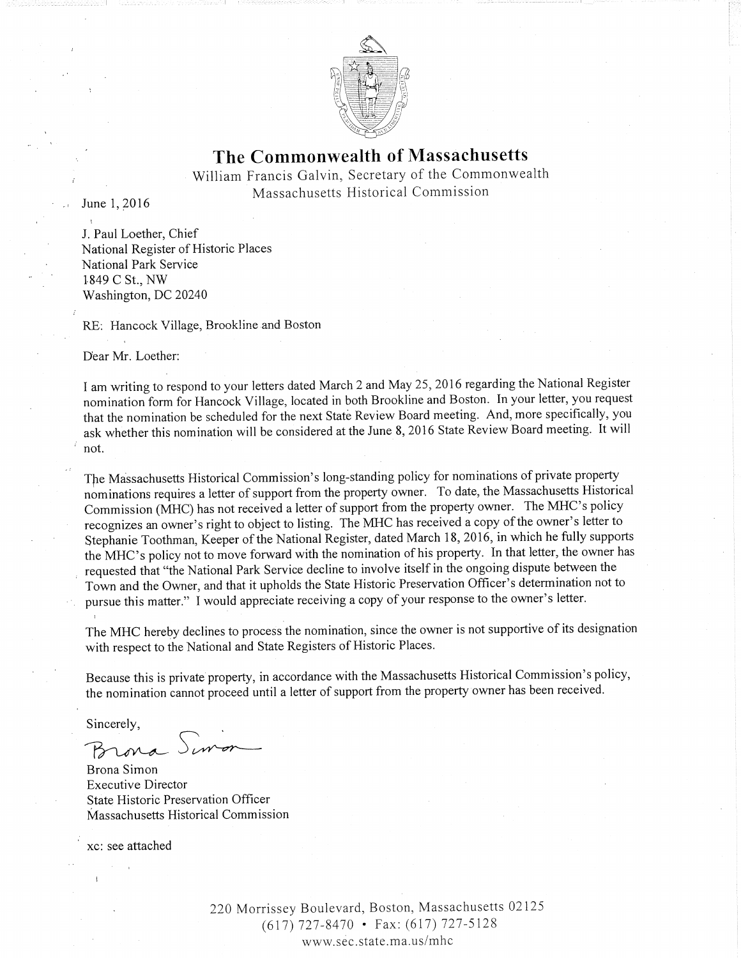

## The Commonwealth of Massachusetts

William Francis Galvin, Secretary of the Commonwealth Massachusetts Historical Commission

June 1, 2016

J. Paul Loether, Chief National Register of Historic Places National Park Service 1849 C St., NW Washington, DC 20240

RE: Hancock Village, Brookline and Boston

Dear Mr. Loether:

I am writing to respond to your letters dated March 2 and May 25, 2016 regarding the National Register nomination form for Hancock Village, located in both Brookline and Boston. In your letter, you request that the nomination be scheduled for the next State Review Board meeting. And, more specifically, you ask whether this nomination will be considered at the June 8, 2016 State Review Board meeting. It will not.

The Massachusetts Historical Commission's long-standing policy for nominations of private property nominations requires a letter of support from the property owner. To date, the Massachusetts Historical Commission (MHC) has not received a letter of support from the property owner. The MHC's policy recognizes an owner's right to object to listing. The MHC has received a copy of the owner's letter to Stephanie Toothman, Keeper of the National Register, dated March 18, 2016, in which he fully supports the MHC's policy not to move forward with the nomination of his property. In that letter, the owner has requested that "the National Park Service decline to involve itself in the ongoing dispute between the Town and the Owner, and that it upholds the State Historic Preservation Officer's determination not to pursue this matter." I would appreciate receiving a copy of your response to the owner's letter.

The MHC hereby declines to process the nomination, since the owner is not supportive of its designation with respect to the National and State Registers of Historic Places.

Because this is private property, in accordance with the Massachusetts Historical Commission's policy, the nomination cannot proceed until a letter of support from the property owner has been received.

Sincerely,

2ora.

Brona Simon **Executive Director** State Historic Preservation Officer Massachusetts Historical Commission

xc: see attached

220 Morrissey Boulevard, Boston, Massachusetts 02125  $(617)$  727-8470 • Fax: (617) 727-5128 www.sec.state.ma.us/mhc